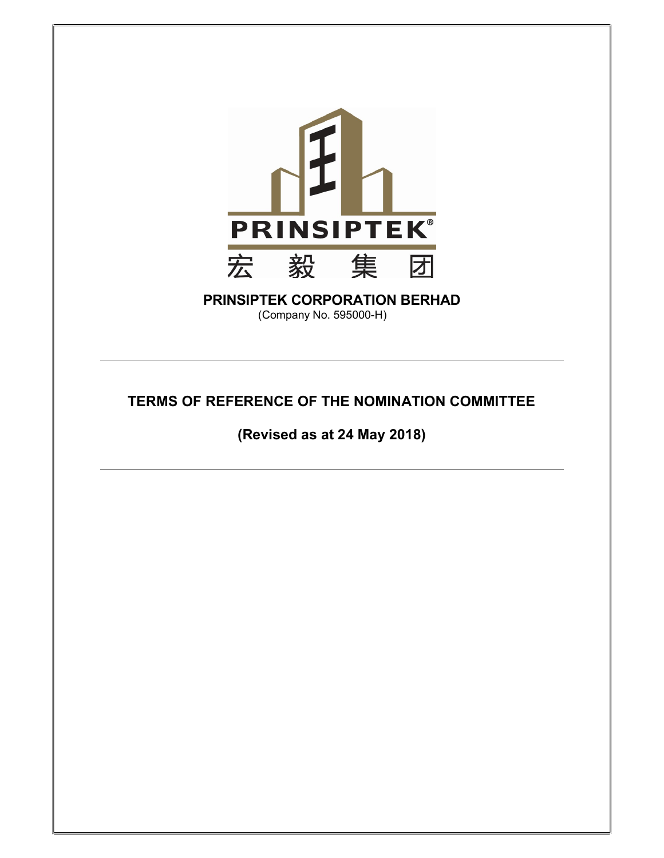

## PRINSIPTEK CORPORATION BERHAD (Company No. 595000-H)

# TERMS OF REFERENCE OF THE NOMINATION COMMITTEE

(Revised as at 24 May 2018)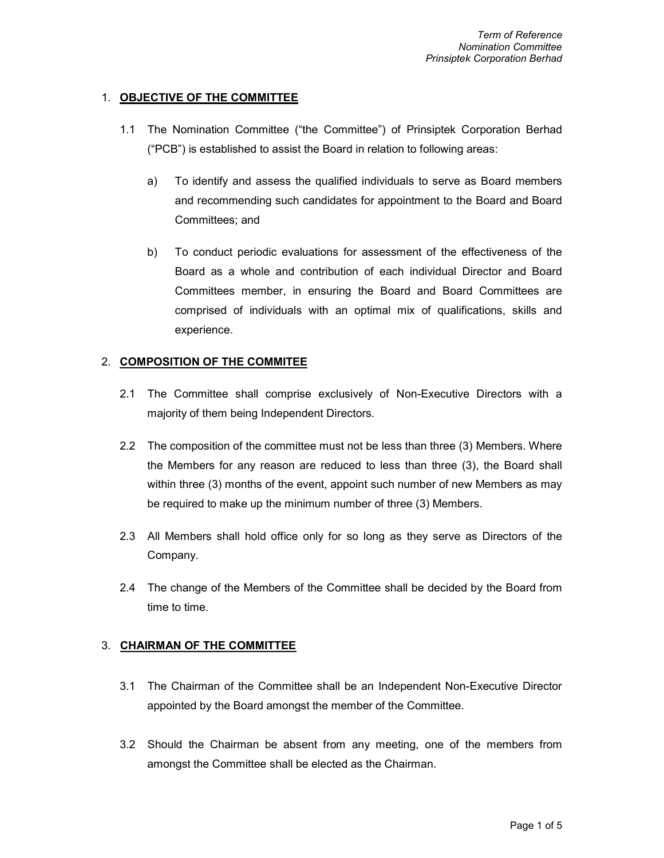## 1. OBJECTIVE OF THE COMMITTEE

- 1.1 The Nomination Committee ("the Committee") of Prinsiptek Corporation Berhad ("PCB") is established to assist the Board in relation to following areas:
	- a) To identify and assess the qualified individuals to serve as Board members and recommending such candidates for appointment to the Board and Board Committees; and
	- b) To conduct periodic evaluations for assessment of the effectiveness of the Board as a whole and contribution of each individual Director and Board Committees member, in ensuring the Board and Board Committees are comprised of individuals with an optimal mix of qualifications, skills and experience.

## 2. COMPOSITION OF THE COMMITEE

- 2.1 The Committee shall comprise exclusively of Non-Executive Directors with a majority of them being Independent Directors.
- 2.2 The composition of the committee must not be less than three (3) Members. Where the Members for any reason are reduced to less than three (3), the Board shall within three (3) months of the event, appoint such number of new Members as may be required to make up the minimum number of three (3) Members.
- 2.3 All Members shall hold office only for so long as they serve as Directors of the Company.
- 2.4 The change of the Members of the Committee shall be decided by the Board from time to time.

## 3. CHAIRMAN OF THE COMMITTEE

- 3.1 The Chairman of the Committee shall be an Independent Non-Executive Director appointed by the Board amongst the member of the Committee.
- 3.2 Should the Chairman be absent from any meeting, one of the members from amongst the Committee shall be elected as the Chairman.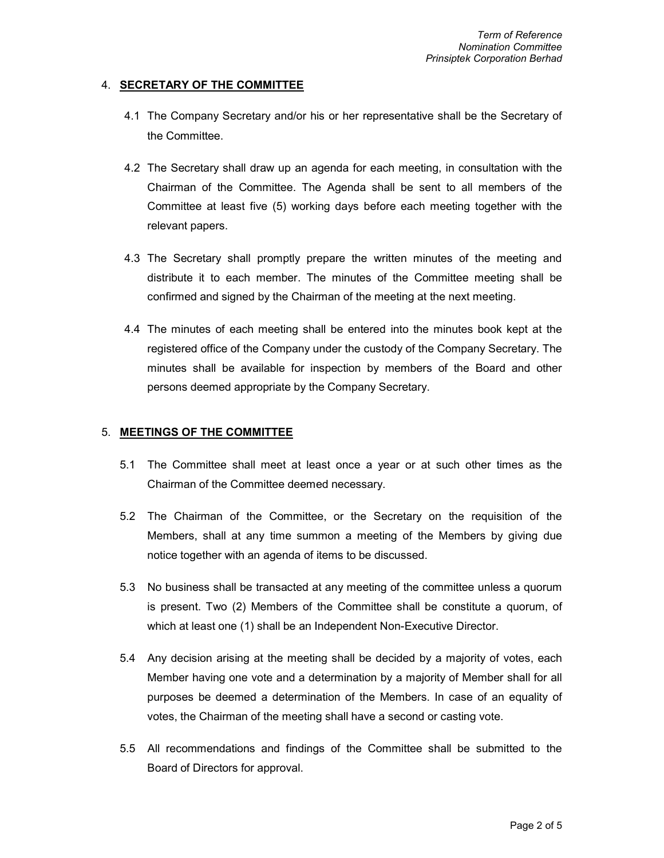#### 4. **SECRETARY OF THE COMMITTEE**

- 4.1 The Company Secretary and/or his or her representative shall be the Secretary of the Committee.
- 4.2 The Secretary shall draw up an agenda for each meeting, in consultation with the Chairman of the Committee. The Agenda shall be sent to all members of the Committee at least five (5) working days before each meeting together with the relevant papers.
- 4.3 The Secretary shall promptly prepare the written minutes of the meeting and distribute it to each member. The minutes of the Committee meeting shall be confirmed and signed by the Chairman of the meeting at the next meeting.
- 4.4 The minutes of each meeting shall be entered into the minutes book kept at the registered office of the Company under the custody of the Company Secretary. The minutes shall be available for inspection by members of the Board and other persons deemed appropriate by the Company Secretary.

#### 5. MEETINGS OF THE COMMITTEE

- 5.1 The Committee shall meet at least once a year or at such other times as the Chairman of the Committee deemed necessary.
- 5.2 The Chairman of the Committee, or the Secretary on the requisition of the Members, shall at any time summon a meeting of the Members by giving due notice together with an agenda of items to be discussed.
- 5.3 No business shall be transacted at any meeting of the committee unless a quorum is present. Two (2) Members of the Committee shall be constitute a quorum, of which at least one (1) shall be an Independent Non-Executive Director.
- 5.4 Any decision arising at the meeting shall be decided by a majority of votes, each Member having one vote and a determination by a majority of Member shall for all purposes be deemed a determination of the Members. In case of an equality of votes, the Chairman of the meeting shall have a second or casting vote.
- 5.5 All recommendations and findings of the Committee shall be submitted to the Board of Directors for approval.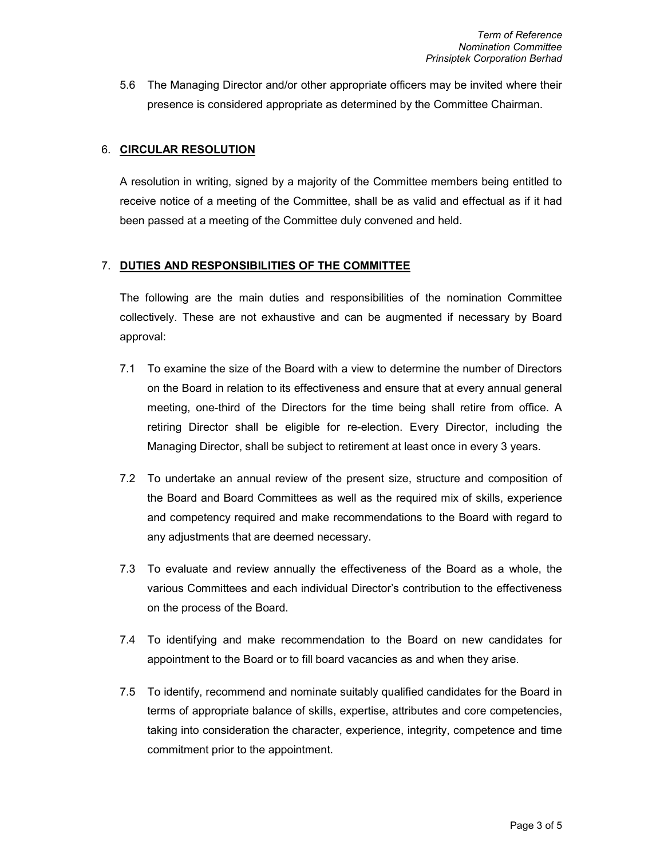5.6 The Managing Director and/or other appropriate officers may be invited where their presence is considered appropriate as determined by the Committee Chairman.

#### 6. CIRCULAR RESOLUTION

A resolution in writing, signed by a majority of the Committee members being entitled to receive notice of a meeting of the Committee, shall be as valid and effectual as if it had been passed at a meeting of the Committee duly convened and held.

#### 7. DUTIES AND RESPONSIBILITIES OF THE COMMITTEE

The following are the main duties and responsibilities of the nomination Committee collectively. These are not exhaustive and can be augmented if necessary by Board approval:

- 7.1 To examine the size of the Board with a view to determine the number of Directors on the Board in relation to its effectiveness and ensure that at every annual general meeting, one-third of the Directors for the time being shall retire from office. A retiring Director shall be eligible for re-election. Every Director, including the Managing Director, shall be subject to retirement at least once in every 3 years.
- 7.2 To undertake an annual review of the present size, structure and composition of the Board and Board Committees as well as the required mix of skills, experience and competency required and make recommendations to the Board with regard to any adjustments that are deemed necessary.
- 7.3 To evaluate and review annually the effectiveness of the Board as a whole, the various Committees and each individual Director's contribution to the effectiveness on the process of the Board.
- 7.4 To identifying and make recommendation to the Board on new candidates for appointment to the Board or to fill board vacancies as and when they arise.
- 7.5 To identify, recommend and nominate suitably qualified candidates for the Board in terms of appropriate balance of skills, expertise, attributes and core competencies, taking into consideration the character, experience, integrity, competence and time commitment prior to the appointment.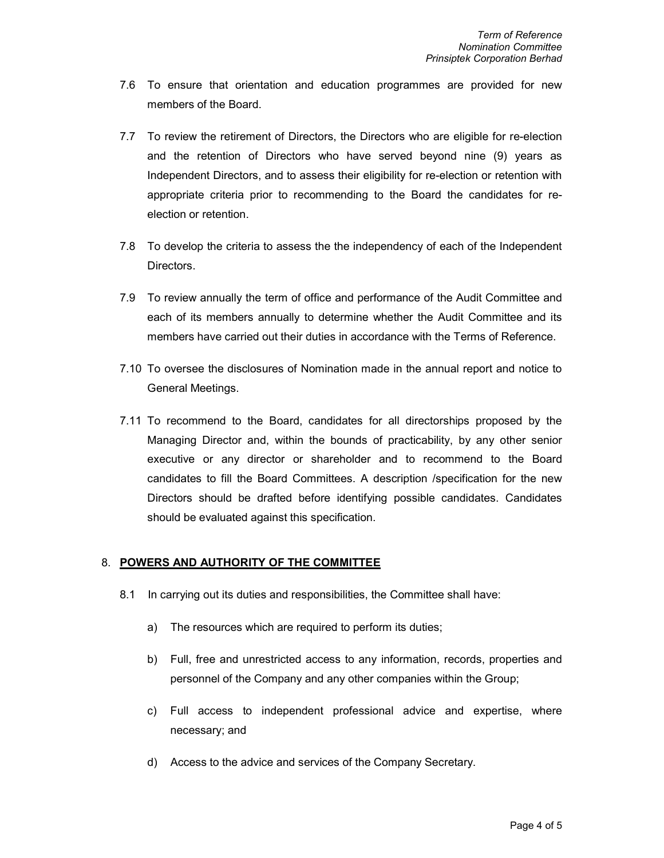- 7.6 To ensure that orientation and education programmes are provided for new members of the Board.
- 7.7 To review the retirement of Directors, the Directors who are eligible for re-election and the retention of Directors who have served beyond nine (9) years as Independent Directors, and to assess their eligibility for re-election or retention with appropriate criteria prior to recommending to the Board the candidates for reelection or retention.
- 7.8 To develop the criteria to assess the the independency of each of the Independent Directors.
- 7.9 To review annually the term of office and performance of the Audit Committee and each of its members annually to determine whether the Audit Committee and its members have carried out their duties in accordance with the Terms of Reference.
- 7.10 To oversee the disclosures of Nomination made in the annual report and notice to General Meetings.
- 7.11 To recommend to the Board, candidates for all directorships proposed by the Managing Director and, within the bounds of practicability, by any other senior executive or any director or shareholder and to recommend to the Board candidates to fill the Board Committees. A description /specification for the new Directors should be drafted before identifying possible candidates. Candidates should be evaluated against this specification.

## 8. POWERS AND AUTHORITY OF THE COMMITTEE

- 8.1 In carrying out its duties and responsibilities, the Committee shall have:
	- a) The resources which are required to perform its duties;
	- b) Full, free and unrestricted access to any information, records, properties and personnel of the Company and any other companies within the Group;
	- c) Full access to independent professional advice and expertise, where necessary; and
	- d) Access to the advice and services of the Company Secretary.